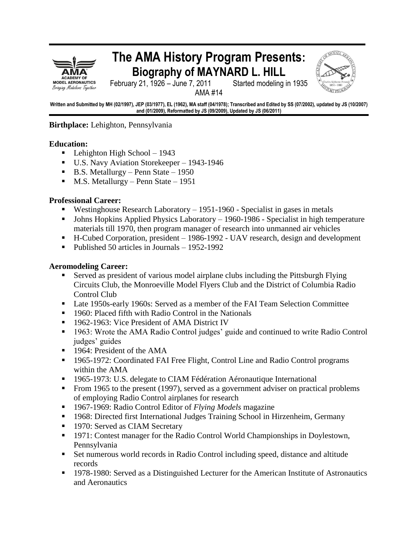

# **The AMA History Program Presents: Biography of MAYNARD L. HILL**



February 21, 1926 – June 7, 2011 Started modeling in 1935

AMA #14

**Written and Submitted by MH (02/1997), JEP (03/1977), EL (1962), MA staff (04/1978); Transcribed and Edited by SS (07/2002), updated by JS (10/2007) and (01/2009), Reformatted by JS (09/2009), Updated by JS (06/2011)**

**Birthplace:** Lehighton, Pennsylvania

## **Education:**

- **Lehighton High School 1943**
- U.S. Navy Aviation Storekeeper 1943-1946
- $\blacksquare$  B.S. Metallurgy Penn State 1950
- $M.S. Metallurgy Penn State 1951$

#### **Professional Career:**

- Westinghouse Research Laboratory  $-1951-1960$  Specialist in gases in metals
- Johns Hopkins Applied Physics Laboratory 1960-1986 Specialist in high temperature materials till 1970, then program manager of research into unmanned air vehicles
- H-Cubed Corporation, president 1986-1992 UAV research, design and development
- Published 50 articles in Journals 1952-1992

#### **Aeromodeling Career:**

- Served as president of various model airplane clubs including the Pittsburgh Flying Circuits Club, the Monroeville Model Flyers Club and the District of Columbia Radio Control Club
- Late 1950s-early 1960s: Served as a member of the FAI Team Selection Committee
- **1960: Placed fifth with Radio Control in the Nationals**
- 1962-1963: Vice President of AMA District IV
- 1963: Wrote the AMA Radio Control judges' guide and continued to write Radio Control judges' guides
- 1964: President of the AMA
- <sup>1965-1972:</sup> Coordinated FAI Free Flight, Control Line and Radio Control programs within the AMA
- 1965-1973: U.S. delegate to CIAM Fédération Aéronautique International
- From 1965 to the present (1997), served as a government adviser on practical problems of employing Radio Control airplanes for research
- 1967-1969: Radio Control Editor of *Flying Models* magazine
- <sup>1968</sup>: Directed first International Judges Training School in Hirzenheim, Germany
- 1970: Served as CIAM Secretary
- 1971: Contest manager for the Radio Control World Championships in Doylestown, Pennsylvania
- Set numerous world records in Radio Control including speed, distance and altitude records
- 1978-1980: Served as a Distinguished Lecturer for the American Institute of Astronautics and Aeronautics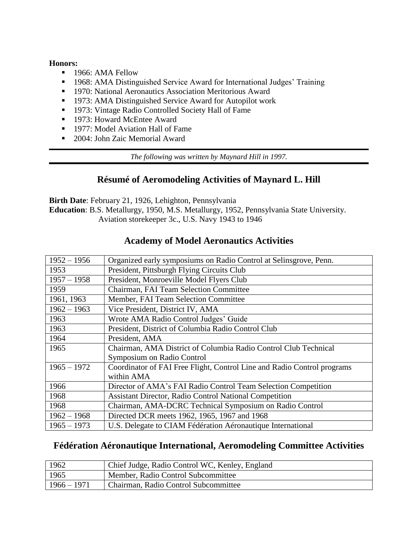#### **Honors:**

- 1966: AMA Fellow
- 1968: AMA Distinguished Service Award for International Judges' Training
- **1970: National Aeronautics Association Meritorious Award**
- **1973: AMA Distinguished Service Award for Autopilot work**
- 1973: Vintage Radio Controlled Society Hall of Fame
- 1973: Howard McEntee Award
- 1977: Model Aviation Hall of Fame
- 2004: John Zaic Memorial Award

*The following was written by Maynard Hill in 1997.*

## **Résumé of Aeromodeling Activities of Maynard L. Hill**

**Birth Date**: February 21, 1926, Lehighton, Pennsylvania **Education**: B.S. Metallurgy, 1950, M.S. Metallurgy, 1952, Pennsylvania State University. Aviation storekeeper 3c., U.S. Navy 1943 to 1946

| $1952 - 1956$ | Organized early symposiums on Radio Control at Selinsgrove, Penn.       |
|---------------|-------------------------------------------------------------------------|
| 1953          | President, Pittsburgh Flying Circuits Club                              |
| $1957 - 1958$ | President, Monroeville Model Flyers Club                                |
| 1959          | Chairman, FAI Team Selection Committee                                  |
| 1961, 1963    | Member, FAI Team Selection Committee                                    |
| $1962 - 1963$ | Vice President, District IV, AMA                                        |
| 1963          | Wrote AMA Radio Control Judges' Guide                                   |
| 1963          | President, District of Columbia Radio Control Club                      |
| 1964          | President, AMA                                                          |
| 1965          | Chairman, AMA District of Columbia Radio Control Club Technical         |
|               | Symposium on Radio Control                                              |
| $1965 - 1972$ | Coordinator of FAI Free Flight, Control Line and Radio Control programs |
|               | within AMA                                                              |
| 1966          | Director of AMA's FAI Radio Control Team Selection Competition          |
| 1968          | <b>Assistant Director, Radio Control National Competition</b>           |
| 1968          | Chairman, AMA-DCRC Technical Symposium on Radio Control                 |
| $1962 - 1968$ | Directed DCR meets 1962, 1965, 1967 and 1968                            |
| $1965 - 1973$ | U.S. Delegate to CIAM Fédération Aéronautique International             |

## **Academy of Model Aeronautics Activities**

## **Fédération Aéronautique International, Aeromodeling Committee Activities**

| 1962          | Chief Judge, Radio Control WC, Kenley, England |
|---------------|------------------------------------------------|
| 1965          | Member, Radio Control Subcommittee             |
| $1966 - 1971$ | Chairman, Radio Control Subcommittee           |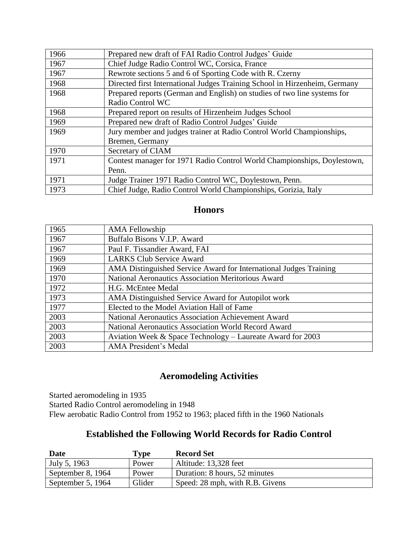| 1966 | Prepared new draft of FAI Radio Control Judges' Guide                      |
|------|----------------------------------------------------------------------------|
| 1967 | Chief Judge Radio Control WC, Corsica, France                              |
| 1967 | Rewrote sections 5 and 6 of Sporting Code with R. Czerny                   |
| 1968 | Directed first International Judges Training School in Hirzenheim, Germany |
| 1968 | Prepared reports (German and English) on studies of two line systems for   |
|      | Radio Control WC                                                           |
| 1968 | Prepared report on results of Hirzenheim Judges School                     |
| 1969 | Prepared new draft of Radio Control Judges' Guide                          |
| 1969 | Jury member and judges trainer at Radio Control World Championships,       |
|      | Bremen, Germany                                                            |
| 1970 | Secretary of CIAM                                                          |
| 1971 | Contest manager for 1971 Radio Control World Championships, Doylestown,    |
|      | Penn.                                                                      |
| 1971 | Judge Trainer 1971 Radio Control WC, Doylestown, Penn.                     |
| 1973 | Chief Judge, Radio Control World Championships, Gorizia, Italy             |

## **Honors**

| 1965 | <b>AMA Fellowship</b>                                             |
|------|-------------------------------------------------------------------|
| 1967 | Buffalo Bisons V.I.P. Award                                       |
| 1967 | Paul F. Tissandier Award, FAI                                     |
| 1969 | <b>LARKS Club Service Award</b>                                   |
| 1969 | AMA Distinguished Service Award for International Judges Training |
| 1970 | National Aeronautics Association Meritorious Award                |
| 1972 | H.G. McEntee Medal                                                |
| 1973 | AMA Distinguished Service Award for Autopilot work                |
| 1977 | Elected to the Model Aviation Hall of Fame                        |
| 2003 | National Aeronautics Association Achievement Award                |
| 2003 | National Aeronautics Association World Record Award               |
| 2003 | Aviation Week & Space Technology – Laureate Award for 2003        |
| 2003 | <b>AMA President's Medal</b>                                      |

## **Aeromodeling Activities**

Started aeromodeling in 1935 Started Radio Control aeromodeling in 1948 Flew aerobatic Radio Control from 1952 to 1963; placed fifth in the 1960 Nationals

## **Established the Following World Records for Radio Control**

| Date              | Type   | <b>Record Set</b>               |
|-------------------|--------|---------------------------------|
| July 5, 1963      | Power  | Altitude: 13,328 feet           |
| September 8, 1964 | Power  | Duration: 8 hours, 52 minutes   |
| September 5, 1964 | Glider | Speed: 28 mph, with R.B. Givens |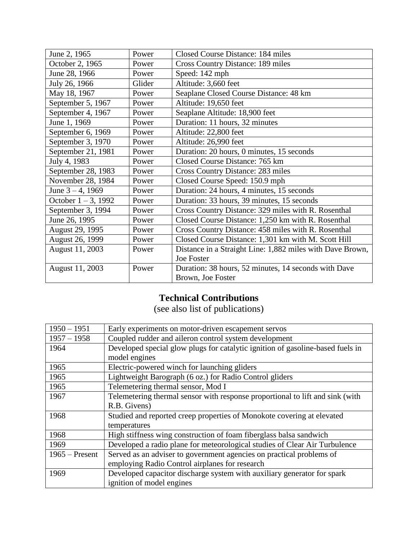| June 2, 1965           | Power  | Closed Course Distance: 184 miles                         |
|------------------------|--------|-----------------------------------------------------------|
| October 2, 1965        | Power  | <b>Cross Country Distance: 189 miles</b>                  |
| June 28, 1966          | Power  | Speed: 142 mph                                            |
| July 26, 1966          | Glider | Altitude: 3,660 feet                                      |
| May 18, 1967           | Power  | Seaplane Closed Course Distance: 48 km                    |
| September 5, 1967      | Power  | Altitude: 19,650 feet                                     |
| September 4, 1967      | Power  | Seaplane Altitude: 18,900 feet                            |
| June 1, 1969           | Power  | Duration: 11 hours, 32 minutes                            |
| September 6, 1969      | Power  | Altitude: 22,800 feet                                     |
| September 3, 1970      | Power  | Altitude: 26,990 feet                                     |
| September 21, 1981     | Power  | Duration: 20 hours, 0 minutes, 15 seconds                 |
| July 4, 1983           | Power  | Closed Course Distance: 765 km                            |
| September 28, 1983     | Power  | Cross Country Distance: 283 miles                         |
| November 28, 1984      | Power  | Closed Course Speed: 150.9 mph                            |
| June $3 - 4$ , 1969    | Power  | Duration: 24 hours, 4 minutes, 15 seconds                 |
| October $1 - 3$ , 1992 | Power  | Duration: 33 hours, 39 minutes, 15 seconds                |
| September 3, 1994      | Power  | Cross Country Distance: 329 miles with R. Rosenthal       |
| June 26, 1995          | Power  | Closed Course Distance: 1,250 km with R. Rosenthal        |
| August 29, 1995        | Power  | Cross Country Distance: 458 miles with R. Rosenthal       |
| August 26, 1999        | Power  | Closed Course Distance: 1,301 km with M. Scott Hill       |
| August 11, 2003        | Power  | Distance in a Straight Line: 1,882 miles with Dave Brown, |
|                        |        | Joe Foster                                                |
| August 11, 2003        | Power  | Duration: 38 hours, 52 minutes, 14 seconds with Dave      |
|                        |        | Brown, Joe Foster                                         |

## **Technical Contributions**

(see also list of publications)

| $1950 - 1951$    | Early experiments on motor-driven escapement servos                            |
|------------------|--------------------------------------------------------------------------------|
| $1957 - 1958$    | Coupled rudder and aileron control system development                          |
| 1964             | Developed special glow plugs for catalytic ignition of gasoline-based fuels in |
|                  | model engines                                                                  |
| 1965             | Electric-powered winch for launching gliders                                   |
| 1965             | Lightweight Barograph (6 oz.) for Radio Control gliders                        |
| 1965             | Telemetering thermal sensor, Mod I                                             |
| 1967             | Telemetering thermal sensor with response proportional to lift and sink (with  |
|                  | R.B. Givens)                                                                   |
| 1968             | Studied and reported creep properties of Monokote covering at elevated         |
|                  | temperatures                                                                   |
| 1968             | High stiffness wing construction of foam fiberglass balsa sandwich             |
| 1969             | Developed a radio plane for meteorological studies of Clear Air Turbulence     |
| $1965$ – Present | Served as an adviser to government agencies on practical problems of           |
|                  | employing Radio Control airplanes for research                                 |
| 1969             | Developed capacitor discharge system with auxiliary generator for spark        |
|                  | ignition of model engines                                                      |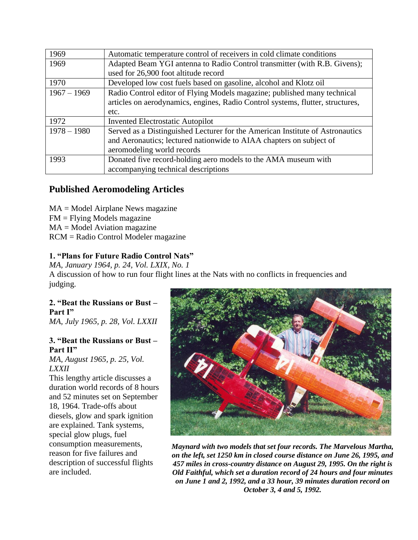| 1969          | Automatic temperature control of receivers in cold climate conditions          |
|---------------|--------------------------------------------------------------------------------|
| 1969          | Adapted Beam YGI antenna to Radio Control transmitter (with R.B. Givens);      |
|               | used for 26,900 foot altitude record                                           |
| 1970          | Developed low cost fuels based on gasoline, alcohol and Klotz oil              |
| $1967 - 1969$ | Radio Control editor of Flying Models magazine; published many technical       |
|               | articles on aerodynamics, engines, Radio Control systems, flutter, structures, |
|               | etc.                                                                           |
| 1972          | <b>Invented Electrostatic Autopilot</b>                                        |
| $1978 - 1980$ | Served as a Distinguished Lecturer for the American Institute of Astronautics  |
|               | and Aeronautics; lectured nationwide to AIAA chapters on subject of            |
|               | aeromodeling world records                                                     |
| 1993          | Donated five record-holding aero models to the AMA museum with                 |
|               | accompanying technical descriptions                                            |

## **Published Aeromodeling Articles**

 $MA = Model$  Airplane News magazine FM = Flying Models magazine  $MA = Model$  Aviation magazine RCM = Radio Control Modeler magazine

## **1. "Plans for Future Radio Control Nats"**

*MA, January 1964, p. 24, Vol. LXIX, No. 1* A discussion of how to run four flight lines at the Nats with no conflicts in frequencies and judging.

## **2. "Beat the Russians or Bust – Part I"**

*MA, July 1965, p. 28, Vol. LXXII*

#### **3. "Beat the Russians or Bust – Part II"**

*MA, August 1965, p. 25, Vol. LXXII*

This lengthy article discusses a duration world records of 8 hours and 52 minutes set on September 18, 1964. Trade-offs about diesels, glow and spark ignition are explained. Tank systems, special glow plugs, fuel consumption measurements, reason for five failures and description of successful flights are included.



*Maynard with two models that set four records. The Marvelous Martha, on the left, set 1250 km in closed course distance on June 26, 1995, and 457 miles in cross-country distance on August 29, 1995. On the right is Old Faithful, which set a duration record of 24 hours and four minutes on June 1 and 2, 1992, and a 33 hour, 39 minutes duration record on October 3, 4 and 5, 1992.*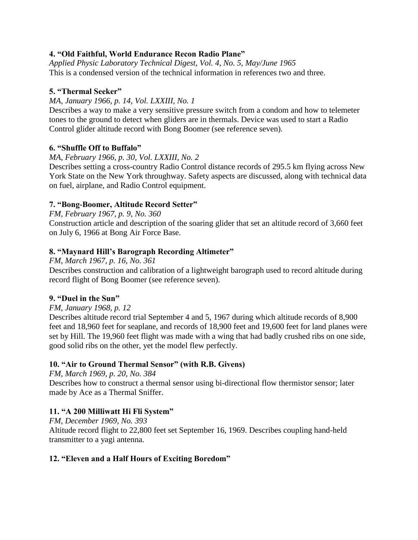## **4. "Old Faithful, World Endurance Recon Radio Plane"**

*Applied Physic Laboratory Technical Digest, Vol. 4, No. 5, May/June 1965* This is a condensed version of the technical information in references two and three.

## **5. "Thermal Seeker"**

*MA, January 1966, p. 14, Vol. LXXIII, No. 1*

Describes a way to make a very sensitive pressure switch from a condom and how to telemeter tones to the ground to detect when gliders are in thermals. Device was used to start a Radio Control glider altitude record with Bong Boomer (see reference seven).

## **6. "Shuffle Off to Buffalo"**

*MA, February 1966, p. 30, Vol. LXXIII, No. 2*

Describes setting a cross-country Radio Control distance records of 295.5 km flying across New York State on the New York throughway. Safety aspects are discussed, along with technical data on fuel, airplane, and Radio Control equipment.

## **7. "Bong-Boomer, Altitude Record Setter"**

*FM, February 1967, p. 9, No. 360*

Construction article and description of the soaring glider that set an altitude record of 3,660 feet on July 6, 1966 at Bong Air Force Base.

## **8. "Maynard Hill's Barograph Recording Altimeter"**

*FM, March 1967, p. 16, No. 361* Describes construction and calibration of a lightweight barograph used to record altitude during record flight of Bong Boomer (see reference seven).

## **9. "Duel in the Sun"**

## *FM, January 1968, p. 12*

Describes altitude record trial September 4 and 5, 1967 during which altitude records of 8,900 feet and 18,960 feet for seaplane, and records of 18,900 feet and 19,600 feet for land planes were set by Hill. The 19,960 feet flight was made with a wing that had badly crushed ribs on one side, good solid ribs on the other, yet the model flew perfectly.

## **10. "Air to Ground Thermal Sensor" (with R.B. Givens)**

*FM, March 1969, p. 20, No. 384*

Describes how to construct a thermal sensor using bi-directional flow thermistor sensor; later made by Ace as a Thermal Sniffer.

## **11. "A 200 Milliwatt Hi Fli System"**

*FM, December 1969, No. 393* Altitude record flight to 22,800 feet set September 16, 1969. Describes coupling hand-held transmitter to a yagi antenna.

## **12. "Eleven and a Half Hours of Exciting Boredom"**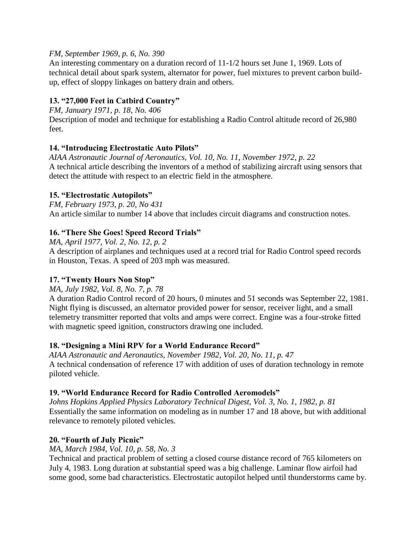## *FM, September 1969, p. 6, No. 390*

An interesting commentary on a duration record of 11-1/2 hours set June 1, 1969. Lots of technical detail about spark system, alternator for power, fuel mixtures to prevent carbon buildup, effect of sloppy linkages on battery drain and others.

## **13. "27,000 Feet in Catbird Country"**

*FM, January 1971, p. 18, No. 406*

Description of model and technique for establishing a Radio Control altitude record of 26,980 feet.

## **14. "Introducing Electrostatic Auto Pilots"**

*AIAA Astronautic Journal of Aeronautics, Vol. 10, No. 11, November 1972, p. 22* A technical article describing the inventors of a method of stabilizing aircraft using sensors that detect the attitude with respect to an electric field in the atmosphere.

## **15. "Electrostatic Autopilots"**

*FM, February 1973, p. 20, No 431* An article similar to number 14 above that includes circuit diagrams and construction notes.

## **16. "There She Goes! Speed Record Trials"**

*MA, April 1977, Vol. 2, No. 12, p. 2*

A description of airplanes and techniques used at a record trial for Radio Control speed records in Houston, Texas. A speed of 203 mph was measured.

## **17. "Twenty Hours Non Stop"**

*MA, July 1982, Vol. 8, No. 7, p. 78*

A duration Radio Control record of 20 hours, 0 minutes and 51 seconds was September 22, 1981. Night flying is discussed, an alternator provided power for sensor, receiver light, and a small telemetry transmitter reported that volts and amps were correct. Engine was a four-stroke fitted with magnetic speed ignition, constructors drawing one included.

## **18. "Designing a Mini RPV for a World Endurance Record"**

*AIAA Astronautic and Aeronautics, November 1982, Vol. 20, No. 11, p. 47* A technical condensation of reference 17 with addition of uses of duration technology in remote piloted vehicle.

## **19. "World Endurance Record for Radio Controlled Aeromodels"**

*Johns Hopkins Applied Physics Laboratory Technical Digest, Vol. 3, No. 1, 1982, p. 81* Essentially the same information on modeling as in number 17 and 18 above, but with additional relevance to remotely piloted vehicles.

## **20. "Fourth of July Picnic"**

*MA, March 1984, Vol. 10, p. 58, No. 3*

Technical and practical problem of setting a closed course distance record of 765 kilometers on July 4, 1983. Long duration at substantial speed was a big challenge. Laminar flow airfoil had some good, some bad characteristics. Electrostatic autopilot helped until thunderstorms came by.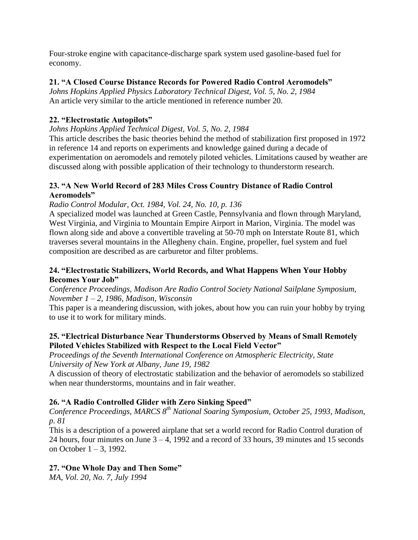Four-stroke engine with capacitance-discharge spark system used gasoline-based fuel for economy.

## **21. "A Closed Course Distance Records for Powered Radio Control Aeromodels"**

*Johns Hopkins Applied Physics Laboratory Technical Digest, Vol. 5, No. 2, 1984* An article very similar to the article mentioned in reference number 20.

## **22. "Electrostatic Autopilots"**

*Johns Hopkins Applied Technical Digest, Vol. 5, No. 2, 1984*

This article describes the basic theories behind the method of stabilization first proposed in 1972 in reference 14 and reports on experiments and knowledge gained during a decade of experimentation on aeromodels and remotely piloted vehicles. Limitations caused by weather are discussed along with possible application of their technology to thunderstorm research.

## **23. "A New World Record of 283 Miles Cross Country Distance of Radio Control Aeromodels"**

*Radio Control Modular, Oct. 1984, Vol. 24, No. 10, p. 136*

A specialized model was launched at Green Castle, Pennsylvania and flown through Maryland, West Virginia, and Virginia to Mountain Empire Airport in Marion, Virginia. The model was flown along side and above a convertible traveling at 50-70 mph on Interstate Route 81, which traverses several mountains in the Allegheny chain. Engine, propeller, fuel system and fuel composition are described as are carburetor and filter problems.

## **24. "Electrostatic Stabilizers, World Records, and What Happens When Your Hobby Becomes Your Job"**

*Conference Proceedings, Madison Are Radio Control Society National Sailplane Symposium, November 1 – 2, 1986, Madison, Wisconsin*

This paper is a meandering discussion, with jokes, about how you can ruin your hobby by trying to use it to work for military minds.

## **25. "Electrical Disturbance Near Thunderstorms Observed by Means of Small Remotely Piloted Vehicles Stabilized with Respect to the Local Field Vector"**

*Proceedings of the Seventh International Conference on Atmospheric Electricity, State University of New York at Albany, June 19, 1982*

A discussion of theory of electrostatic stabilization and the behavior of aeromodels so stabilized when near thunderstorms, mountains and in fair weather.

## **26. "A Radio Controlled Glider with Zero Sinking Speed"**

*Conference Proceedings, MARCS 8th National Soaring Symposium, October 25, 1993, Madison, p. 81*

This is a description of a powered airplane that set a world record for Radio Control duration of 24 hours, four minutes on June 3 – 4, 1992 and a record of 33 hours, 39 minutes and 15 seconds on October 1 – 3, 1992.

## **27. "One Whole Day and Then Some"**

*MA, Vol. 20, No. 7, July 1994*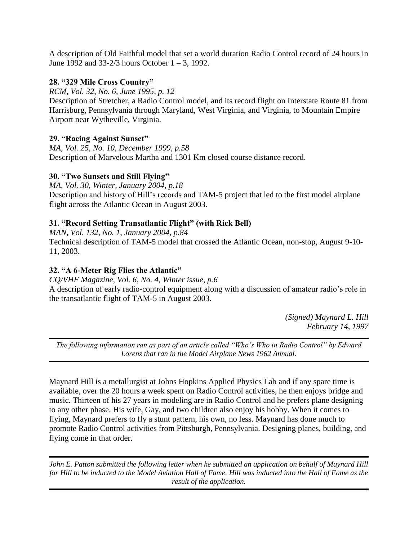A description of Old Faithful model that set a world duration Radio Control record of 24 hours in June 1992 and 33-2/3 hours October 1 – 3, 1992.

## **28. "329 Mile Cross Country"**

*RCM, Vol. 32, No. 6, June 1995, p. 12*

Description of Stretcher, a Radio Control model, and its record flight on Interstate Route 81 from Harrisburg, Pennsylvania through Maryland, West Virginia, and Virginia, to Mountain Empire Airport near Wytheville, Virginia.

## **29. "Racing Against Sunset"**

*MA, Vol. 25, No. 10, December 1999, p.58* Description of Marvelous Martha and 1301 Km closed course distance record.

## **30. "Two Sunsets and Still Flying"**

*MA, Vol. 30, Winter, January 2004, p.18* Description and history of Hill's records and TAM-5 project that led to the first model airplane flight across the Atlantic Ocean in August 2003.

## **31. "Record Setting Transatlantic Flight" (with Rick Bell)**

*MAN, Vol. 132, No. 1, January 2004, p.84* Technical description of TAM-5 model that crossed the Atlantic Ocean, non-stop, August 9-10- 11, 2003.

## **32. "A 6-Meter Rig Flies the Atlantic"**

*CQ/VHF Magazine, Vol. 6, No. 4, Winter issue, p.6* A description of early radio-control equipment along with a discussion of amateur radio's role in the transatlantic flight of TAM-5 in August 2003.

> *(Signed) Maynard L. Hill February 14, 1997*

*The following information ran as part of an article called "Who's Who in Radio Control" by Edward Lorenz that ran in the Model Airplane News 1962 Annual.*

Maynard Hill is a metallurgist at Johns Hopkins Applied Physics Lab and if any spare time is available, over the 20 hours a week spent on Radio Control activities, he then enjoys bridge and music. Thirteen of his 27 years in modeling are in Radio Control and he prefers plane designing to any other phase. His wife, Gay, and two children also enjoy his hobby. When it comes to flying, Maynard prefers to fly a stunt pattern, his own, no less. Maynard has done much to promote Radio Control activities from Pittsburgh, Pennsylvania. Designing planes, building, and flying come in that order.

*John E. Patton submitted the following letter when he submitted an application on behalf of Maynard Hill for Hill to be inducted to the Model Aviation Hall of Fame. Hill was inducted into the Hall of Fame as the result of the application.*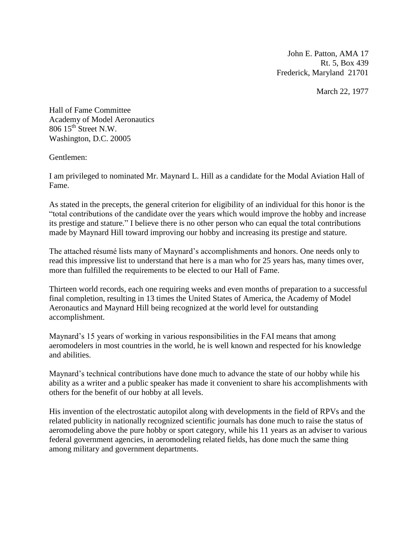John E. Patton, AMA 17 Rt. 5, Box 439 Frederick, Maryland 21701

March 22, 1977

Hall of Fame Committee Academy of Model Aeronautics  $806$   $15^{\text{th}}$  Street N.W. Washington, D.C. 20005

Gentlemen:

I am privileged to nominated Mr. Maynard L. Hill as a candidate for the Modal Aviation Hall of Fame.

As stated in the precepts, the general criterion for eligibility of an individual for this honor is the "total contributions of the candidate over the years which would improve the hobby and increase its prestige and stature." I believe there is no other person who can equal the total contributions made by Maynard Hill toward improving our hobby and increasing its prestige and stature.

The attached résumé lists many of Maynard's accomplishments and honors. One needs only to read this impressive list to understand that here is a man who for 25 years has, many times over, more than fulfilled the requirements to be elected to our Hall of Fame.

Thirteen world records, each one requiring weeks and even months of preparation to a successful final completion, resulting in 13 times the United States of America, the Academy of Model Aeronautics and Maynard Hill being recognized at the world level for outstanding accomplishment.

Maynard's 15 years of working in various responsibilities in the FAI means that among aeromodelers in most countries in the world, he is well known and respected for his knowledge and abilities.

Maynard's technical contributions have done much to advance the state of our hobby while his ability as a writer and a public speaker has made it convenient to share his accomplishments with others for the benefit of our hobby at all levels.

His invention of the electrostatic autopilot along with developments in the field of RPVs and the related publicity in nationally recognized scientific journals has done much to raise the status of aeromodeling above the pure hobby or sport category, while his 11 years as an adviser to various federal government agencies, in aeromodeling related fields, has done much the same thing among military and government departments.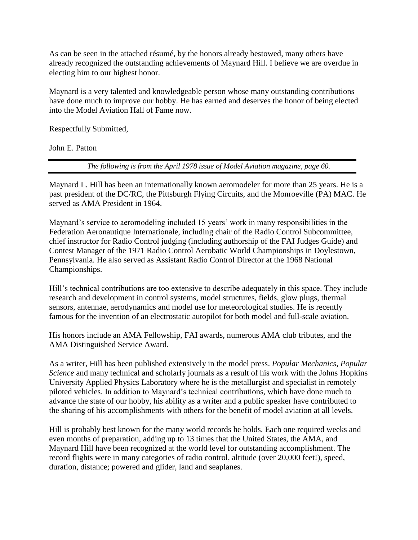As can be seen in the attached résumé, by the honors already bestowed, many others have already recognized the outstanding achievements of Maynard Hill. I believe we are overdue in electing him to our highest honor.

Maynard is a very talented and knowledgeable person whose many outstanding contributions have done much to improve our hobby. He has earned and deserves the honor of being elected into the Model Aviation Hall of Fame now.

Respectfully Submitted,

John E. Patton

*The following is from the April 1978 issue of Model Aviation magazine, page 60.*

Maynard L. Hill has been an internationally known aeromodeler for more than 25 years. He is a past president of the DC/RC, the Pittsburgh Flying Circuits, and the Monroeville (PA) MAC. He served as AMA President in 1964.

Maynard's service to aeromodeling included 15 years' work in many responsibilities in the Federation Aeronautique Internationale, including chair of the Radio Control Subcommittee, chief instructor for Radio Control judging (including authorship of the FAI Judges Guide) and Contest Manager of the 1971 Radio Control Aerobatic World Championships in Doylestown, Pennsylvania. He also served as Assistant Radio Control Director at the 1968 National Championships.

Hill's technical contributions are too extensive to describe adequately in this space. They include research and development in control systems, model structures, fields, glow plugs, thermal sensors, antennae, aerodynamics and model use for meteorological studies. He is recently famous for the invention of an electrostatic autopilot for both model and full-scale aviation.

His honors include an AMA Fellowship, FAI awards, numerous AMA club tributes, and the AMA Distinguished Service Award.

As a writer, Hill has been published extensively in the model press. *Popular Mechanics, Popular Science* and many technical and scholarly journals as a result of his work with the Johns Hopkins University Applied Physics Laboratory where he is the metallurgist and specialist in remotely piloted vehicles. In addition to Maynard's technical contributions, which have done much to advance the state of our hobby, his ability as a writer and a public speaker have contributed to the sharing of his accomplishments with others for the benefit of model aviation at all levels.

Hill is probably best known for the many world records he holds. Each one required weeks and even months of preparation, adding up to 13 times that the United States, the AMA, and Maynard Hill have been recognized at the world level for outstanding accomplishment. The record flights were in many categories of radio control, altitude (over 20,000 feet!), speed, duration, distance; powered and glider, land and seaplanes.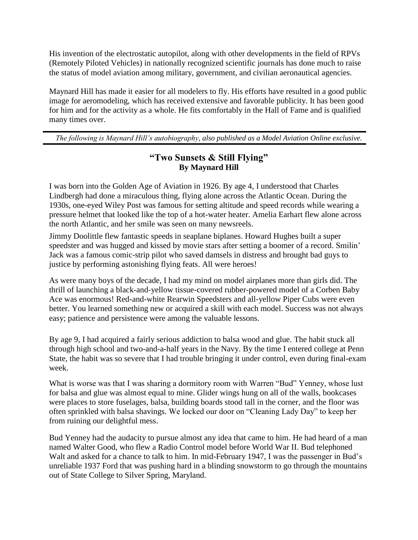His invention of the electrostatic autopilot, along with other developments in the field of RPVs (Remotely Piloted Vehicles) in nationally recognized scientific journals has done much to raise the status of model aviation among military, government, and civilian aeronautical agencies.

Maynard Hill has made it easier for all modelers to fly. His efforts have resulted in a good public image for aeromodeling, which has received extensive and favorable publicity. It has been good for him and for the activity as a whole. He fits comfortably in the Hall of Fame and is qualified many times over.

*The following is Maynard Hill's autobiography, also published as a Model Aviation Online exclusive.*

## **"Two Sunsets & Still Flying" By Maynard Hill**

I was born into the Golden Age of Aviation in 1926. By age 4, I understood that Charles Lindbergh had done a miraculous thing, flying alone across the Atlantic Ocean. During the 1930s, one-eyed Wiley Post was famous for setting altitude and speed records while wearing a pressure helmet that looked like the top of a hot-water heater. Amelia Earhart flew alone across the north Atlantic, and her smile was seen on many newsreels.

Jimmy Doolittle flew fantastic speeds in seaplane biplanes. Howard Hughes built a super speedster and was hugged and kissed by movie stars after setting a boomer of a record. Smilin' Jack was a famous comic-strip pilot who saved damsels in distress and brought bad guys to justice by performing astonishing flying feats. All were heroes!

As were many boys of the decade, I had my mind on model airplanes more than girls did. The thrill of launching a black-and-yellow tissue-covered rubber-powered model of a Corben Baby Ace was enormous! Red-and-white Rearwin Speedsters and all-yellow Piper Cubs were even better. You learned something new or acquired a skill with each model. Success was not always easy; patience and persistence were among the valuable lessons.

By age 9, I had acquired a fairly serious addiction to balsa wood and glue. The habit stuck all through high school and two-and-a-half years in the Navy. By the time I entered college at Penn State, the habit was so severe that I had trouble bringing it under control, even during final-exam week.

What is worse was that I was sharing a dormitory room with Warren "Bud" Yenney, whose lust for balsa and glue was almost equal to mine. Glider wings hung on all of the walls, bookcases were places to store fuselages, balsa, building boards stood tall in the corner, and the floor was often sprinkled with balsa shavings. We locked our door on "Cleaning Lady Day" to keep her from ruining our delightful mess.

Bud Yenney had the audacity to pursue almost any idea that came to him. He had heard of a man named Walter Good, who flew a Radio Control model before World War II. Bud telephoned Walt and asked for a chance to talk to him. In mid-February 1947, I was the passenger in Bud's unreliable 1937 Ford that was pushing hard in a blinding snowstorm to go through the mountains out of State College to Silver Spring, Maryland.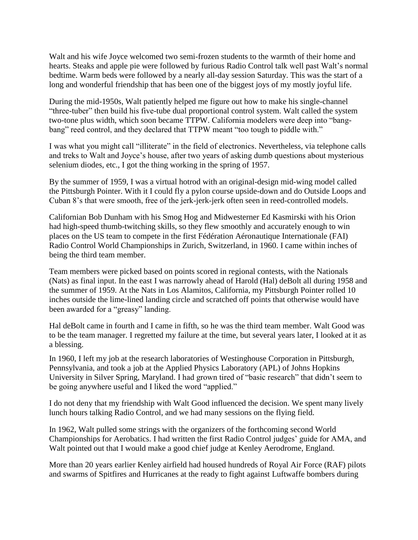Walt and his wife Joyce welcomed two semi-frozen students to the warmth of their home and hearts. Steaks and apple pie were followed by furious Radio Control talk well past Walt's normal bedtime. Warm beds were followed by a nearly all-day session Saturday. This was the start of a long and wonderful friendship that has been one of the biggest joys of my mostly joyful life.

During the mid-1950s, Walt patiently helped me figure out how to make his single-channel "three-tuber" then build his five-tube dual proportional control system. Walt called the system two-tone plus width, which soon became TTPW. California modelers were deep into "bangbang" reed control, and they declared that TTPW meant "too tough to piddle with."

I was what you might call "illiterate" in the field of electronics. Nevertheless, via telephone calls and treks to Walt and Joyce's house, after two years of asking dumb questions about mysterious selenium diodes, etc., I got the thing working in the spring of 1957.

By the summer of 1959, I was a virtual hotrod with an original-design mid-wing model called the Pittsburgh Pointer. With it I could fly a pylon course upside-down and do Outside Loops and Cuban 8's that were smooth, free of the jerk-jerk-jerk often seen in reed-controlled models.

Californian Bob Dunham with his Smog Hog and Midwesterner Ed Kasmirski with his Orion had high-speed thumb-twitching skills, so they flew smoothly and accurately enough to win places on the US team to compete in the first Fédération Aéronautique Internationale (FAI) Radio Control World Championships in Zurich, Switzerland, in 1960. I came within inches of being the third team member.

Team members were picked based on points scored in regional contests, with the Nationals (Nats) as final input. In the east I was narrowly ahead of Harold (Hal) deBolt all during 1958 and the summer of 1959. At the Nats in Los Alamitos, California, my Pittsburgh Pointer rolled 10 inches outside the lime-lined landing circle and scratched off points that otherwise would have been awarded for a "greasy" landing.

Hal deBolt came in fourth and I came in fifth, so he was the third team member. Walt Good was to be the team manager. I regretted my failure at the time, but several years later, I looked at it as a blessing.

In 1960, I left my job at the research laboratories of Westinghouse Corporation in Pittsburgh, Pennsylvania, and took a job at the Applied Physics Laboratory (APL) of Johns Hopkins University in Silver Spring, Maryland. I had grown tired of "basic research" that didn't seem to be going anywhere useful and I liked the word "applied."

I do not deny that my friendship with Walt Good influenced the decision. We spent many lively lunch hours talking Radio Control, and we had many sessions on the flying field.

In 1962, Walt pulled some strings with the organizers of the forthcoming second World Championships for Aerobatics. I had written the first Radio Control judges' guide for AMA, and Walt pointed out that I would make a good chief judge at Kenley Aerodrome, England.

More than 20 years earlier Kenley airfield had housed hundreds of Royal Air Force (RAF) pilots and swarms of Spitfires and Hurricanes at the ready to fight against Luftwaffe bombers during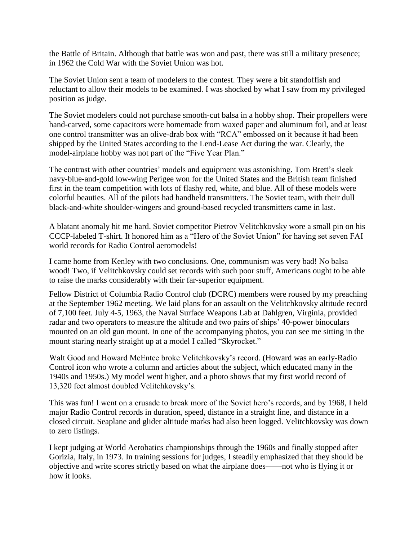the Battle of Britain. Although that battle was won and past, there was still a military presence; in 1962 the Cold War with the Soviet Union was hot.

The Soviet Union sent a team of modelers to the contest. They were a bit standoffish and reluctant to allow their models to be examined. I was shocked by what I saw from my privileged position as judge.

The Soviet modelers could not purchase smooth-cut balsa in a hobby shop. Their propellers were hand-carved, some capacitors were homemade from waxed paper and aluminum foil, and at least one control transmitter was an olive-drab box with "RCA" embossed on it because it had been shipped by the United States according to the Lend-Lease Act during the war. Clearly, the model-airplane hobby was not part of the "Five Year Plan."

The contrast with other countries' models and equipment was astonishing. Tom Brett's sleek navy-blue-and-gold low-wing Perigee won for the United States and the British team finished first in the team competition with lots of flashy red, white, and blue. All of these models were colorful beauties. All of the pilots had handheld transmitters. The Soviet team, with their dull black-and-white shoulder-wingers and ground-based recycled transmitters came in last.

A blatant anomaly hit me hard. Soviet competitor Pietrov Velitchkovsky wore a small pin on his CCCP-labeled T-shirt. It honored him as a "Hero of the Soviet Union" for having set seven FAI world records for Radio Control aeromodels!

I came home from Kenley with two conclusions. One, communism was very bad! No balsa wood! Two, if Velitchkovsky could set records with such poor stuff, Americans ought to be able to raise the marks considerably with their far-superior equipment.

Fellow District of Columbia Radio Control club (DCRC) members were roused by my preaching at the September 1962 meeting. We laid plans for an assault on the Velitchkovsky altitude record of 7,100 feet. July 4-5, 1963, the Naval Surface Weapons Lab at Dahlgren, Virginia, provided radar and two operators to measure the altitude and two pairs of ships' 40-power binoculars mounted on an old gun mount. In one of the accompanying photos, you can see me sitting in the mount staring nearly straight up at a model I called "Skyrocket."

Walt Good and Howard McEntee broke Velitchkovsky's record. (Howard was an early-Radio Control icon who wrote a column and articles about the subject, which educated many in the 1940s and 1950s.) My model went higher, and a photo shows that my first world record of 13,320 feet almost doubled Velitchkovsky's.

This was fun! I went on a crusade to break more of the Soviet hero's records, and by 1968, I held major Radio Control records in duration, speed, distance in a straight line, and distance in a closed circuit. Seaplane and glider altitude marks had also been logged. Velitchkovsky was down to zero listings.

I kept judging at World Aerobatics championships through the 1960s and finally stopped after Gorizia, Italy, in 1973. In training sessions for judges, I steadily emphasized that they should be objective and write scores strictly based on what the airplane does——not who is flying it or how it looks.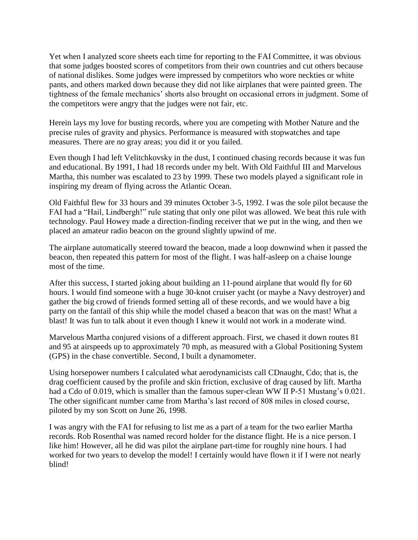Yet when I analyzed score sheets each time for reporting to the FAI Committee, it was obvious that some judges boosted scores of competitors from their own countries and cut others because of national dislikes. Some judges were impressed by competitors who wore neckties or white pants, and others marked down because they did not like airplanes that were painted green. The tightness of the female mechanics' shorts also brought on occasional errors in judgment. Some of the competitors were angry that the judges were not fair, etc.

Herein lays my love for busting records, where you are competing with Mother Nature and the precise rules of gravity and physics. Performance is measured with stopwatches and tape measures. There are no gray areas; you did it or you failed.

Even though I had left Velitchkovsky in the dust, I continued chasing records because it was fun and educational. By 1991, I had 18 records under my belt. With Old Faithful III and Marvelous Martha, this number was escalated to 23 by 1999. These two models played a significant role in inspiring my dream of flying across the Atlantic Ocean.

Old Faithful flew for 33 hours and 39 minutes October 3-5, 1992. I was the sole pilot because the FAI had a "Hail, Lindbergh!" rule stating that only one pilot was allowed. We beat this rule with technology. Paul Howey made a direction-finding receiver that we put in the wing, and then we placed an amateur radio beacon on the ground slightly upwind of me.

The airplane automatically steered toward the beacon, made a loop downwind when it passed the beacon, then repeated this pattern for most of the flight. I was half-asleep on a chaise lounge most of the time.

After this success, I started joking about building an 11-pound airplane that would fly for 60 hours. I would find someone with a huge 30-knot cruiser yacht (or maybe a Navy destroyer) and gather the big crowd of friends formed setting all of these records, and we would have a big party on the fantail of this ship while the model chased a beacon that was on the mast! What a blast! It was fun to talk about it even though I knew it would not work in a moderate wind.

Marvelous Martha conjured visions of a different approach. First, we chased it down routes 81 and 95 at airspeeds up to approximately 70 mph, as measured with a Global Positioning System (GPS) in the chase convertible. Second, I built a dynamometer.

Using horsepower numbers I calculated what aerodynamicists call CDnaught, Cdo; that is, the drag coefficient caused by the profile and skin friction, exclusive of drag caused by lift. Martha had a Cdo of 0.019, which is smaller than the famous super-clean WW II P-51 Mustang's 0.021. The other significant number came from Martha's last record of 808 miles in closed course, piloted by my son Scott on June 26, 1998.

I was angry with the FAI for refusing to list me as a part of a team for the two earlier Martha records. Rob Rosenthal was named record holder for the distance flight. He is a nice person. I like him! However, all he did was pilot the airplane part-time for roughly nine hours. I had worked for two years to develop the model! I certainly would have flown it if I were not nearly blind!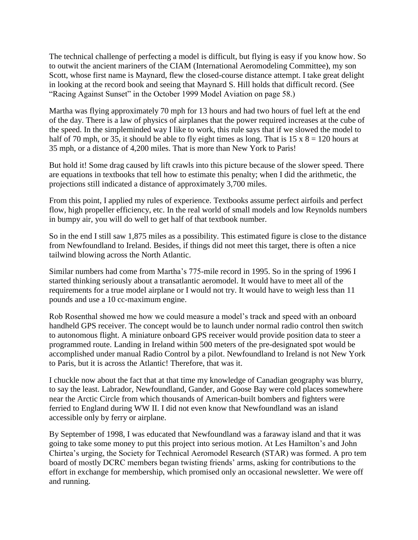The technical challenge of perfecting a model is difficult, but flying is easy if you know how. So to outwit the ancient mariners of the CIAM (International Aeromodeling Committee), my son Scott, whose first name is Maynard, flew the closed-course distance attempt. I take great delight in looking at the record book and seeing that Maynard S. Hill holds that difficult record. (See "Racing Against Sunset" in the October 1999 Model Aviation on page 58.)

Martha was flying approximately 70 mph for 13 hours and had two hours of fuel left at the end of the day. There is a law of physics of airplanes that the power required increases at the cube of the speed. In the simpleminded way I like to work, this rule says that if we slowed the model to half of 70 mph, or 35, it should be able to fly eight times as long. That is  $15 \times 8 = 120$  hours at 35 mph, or a distance of 4,200 miles. That is more than New York to Paris!

But hold it! Some drag caused by lift crawls into this picture because of the slower speed. There are equations in textbooks that tell how to estimate this penalty; when I did the arithmetic, the projections still indicated a distance of approximately 3,700 miles.

From this point, I applied my rules of experience. Textbooks assume perfect airfoils and perfect flow, high propeller efficiency, etc. In the real world of small models and low Reynolds numbers in bumpy air, you will do well to get half of that textbook number.

So in the end I still saw 1,875 miles as a possibility. This estimated figure is close to the distance from Newfoundland to Ireland. Besides, if things did not meet this target, there is often a nice tailwind blowing across the North Atlantic.

Similar numbers had come from Martha's 775-mile record in 1995. So in the spring of 1996 I started thinking seriously about a transatlantic aeromodel. It would have to meet all of the requirements for a true model airplane or I would not try. It would have to weigh less than 11 pounds and use a 10 cc-maximum engine.

Rob Rosenthal showed me how we could measure a model's track and speed with an onboard handheld GPS receiver. The concept would be to launch under normal radio control then switch to autonomous flight. A miniature onboard GPS receiver would provide position data to steer a programmed route. Landing in Ireland within 500 meters of the pre-designated spot would be accomplished under manual Radio Control by a pilot. Newfoundland to Ireland is not New York to Paris, but it is across the Atlantic! Therefore, that was it.

I chuckle now about the fact that at that time my knowledge of Canadian geography was blurry, to say the least. Labrador, Newfoundland, Gander, and Goose Bay were cold places somewhere near the Arctic Circle from which thousands of American-built bombers and fighters were ferried to England during WW II. I did not even know that Newfoundland was an island accessible only by ferry or airplane.

By September of 1998, I was educated that Newfoundland was a faraway island and that it was going to take some money to put this project into serious motion. At Les Hamilton's and John Chirtea's urging, the Society for Technical Aeromodel Research (STAR) was formed. A pro tem board of mostly DCRC members began twisting friends' arms, asking for contributions to the effort in exchange for membership, which promised only an occasional newsletter. We were off and running.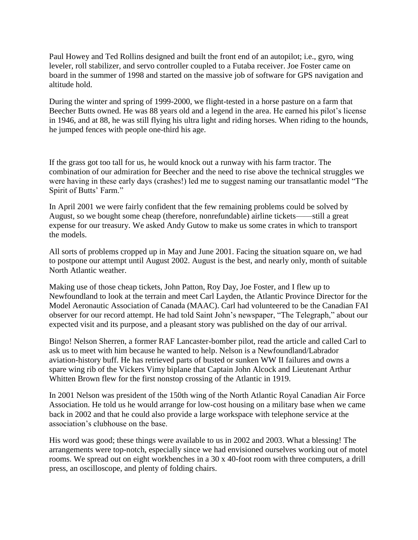Paul Howey and Ted Rollins designed and built the front end of an autopilot; i.e., gyro, wing leveler, roll stabilizer, and servo controller coupled to a Futaba receiver. Joe Foster came on board in the summer of 1998 and started on the massive job of software for GPS navigation and altitude hold.

During the winter and spring of 1999-2000, we flight-tested in a horse pasture on a farm that Beecher Butts owned. He was 88 years old and a legend in the area. He earned his pilot's license in 1946, and at 88, he was still flying his ultra light and riding horses. When riding to the hounds, he jumped fences with people one-third his age.

If the grass got too tall for us, he would knock out a runway with his farm tractor. The combination of our admiration for Beecher and the need to rise above the technical struggles we were having in these early days (crashes!) led me to suggest naming our transatlantic model "The Spirit of Butts' Farm."

In April 2001 we were fairly confident that the few remaining problems could be solved by August, so we bought some cheap (therefore, nonrefundable) airline tickets——still a great expense for our treasury. We asked Andy Gutow to make us some crates in which to transport the models.

All sorts of problems cropped up in May and June 2001. Facing the situation square on, we had to postpone our attempt until August 2002. August is the best, and nearly only, month of suitable North Atlantic weather.

Making use of those cheap tickets, John Patton, Roy Day, Joe Foster, and I flew up to Newfoundland to look at the terrain and meet Carl Layden, the Atlantic Province Director for the Model Aeronautic Association of Canada (MAAC). Carl had volunteered to be the Canadian FAI observer for our record attempt. He had told Saint John's newspaper, "The Telegraph," about our expected visit and its purpose, and a pleasant story was published on the day of our arrival.

Bingo! Nelson Sherren, a former RAF Lancaster-bomber pilot, read the article and called Carl to ask us to meet with him because he wanted to help. Nelson is a Newfoundland/Labrador aviation-history buff. He has retrieved parts of busted or sunken WW II failures and owns a spare wing rib of the Vickers Vimy biplane that Captain John Alcock and Lieutenant Arthur Whitten Brown flew for the first nonstop crossing of the Atlantic in 1919.

In 2001 Nelson was president of the 150th wing of the North Atlantic Royal Canadian Air Force Association. He told us he would arrange for low-cost housing on a military base when we came back in 2002 and that he could also provide a large workspace with telephone service at the association's clubhouse on the base.

His word was good; these things were available to us in 2002 and 2003. What a blessing! The arrangements were top-notch, especially since we had envisioned ourselves working out of motel rooms. We spread out on eight workbenches in a 30 x 40-foot room with three computers, a drill press, an oscilloscope, and plenty of folding chairs.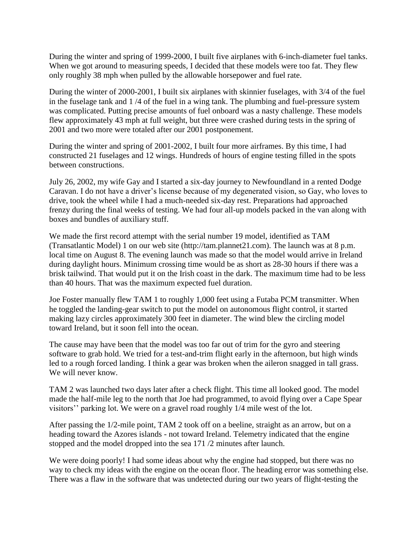During the winter and spring of 1999-2000, I built five airplanes with 6-inch-diameter fuel tanks. When we got around to measuring speeds, I decided that these models were too fat. They flew only roughly 38 mph when pulled by the allowable horsepower and fuel rate.

During the winter of 2000-2001, I built six airplanes with skinnier fuselages, with 3/4 of the fuel in the fuselage tank and 1 /4 of the fuel in a wing tank. The plumbing and fuel-pressure system was complicated. Putting precise amounts of fuel onboard was a nasty challenge. These models flew approximately 43 mph at full weight, but three were crashed during tests in the spring of 2001 and two more were totaled after our 2001 postponement.

During the winter and spring of 2001-2002, I built four more airframes. By this time, I had constructed 21 fuselages and 12 wings. Hundreds of hours of engine testing filled in the spots between constructions.

July 26, 2002, my wife Gay and I started a six-day journey to Newfoundland in a rented Dodge Caravan. I do not have a driver's license because of my degenerated vision, so Gay, who loves to drive, took the wheel while I had a much-needed six-day rest. Preparations had approached frenzy during the final weeks of testing. We had four all-up models packed in the van along with boxes and bundles of auxiliary stuff.

We made the first record attempt with the serial number 19 model, identified as TAM (Transatlantic Model) 1 on our web site (http://tam.plannet21.com). The launch was at 8 p.m. local time on August 8. The evening launch was made so that the model would arrive in Ireland during daylight hours. Minimum crossing time would be as short as 28-30 hours if there was a brisk tailwind. That would put it on the Irish coast in the dark. The maximum time had to be less than 40 hours. That was the maximum expected fuel duration.

Joe Foster manually flew TAM 1 to roughly 1,000 feet using a Futaba PCM transmitter. When he toggled the landing-gear switch to put the model on autonomous flight control, it started making lazy circles approximately 300 feet in diameter. The wind blew the circling model toward Ireland, but it soon fell into the ocean.

The cause may have been that the model was too far out of trim for the gyro and steering software to grab hold. We tried for a test-and-trim flight early in the afternoon, but high winds led to a rough forced landing. I think a gear was broken when the aileron snagged in tall grass. We will never know.

TAM 2 was launched two days later after a check flight. This time all looked good. The model made the half-mile leg to the north that Joe had programmed, to avoid flying over a Cape Spear visitors'' parking lot. We were on a gravel road roughly 1/4 mile west of the lot.

After passing the 1/2-mile point, TAM 2 took off on a beeline, straight as an arrow, but on a heading toward the Azores islands - not toward Ireland. Telemetry indicated that the engine stopped and the model dropped into the sea 171 /2 minutes after launch.

We were doing poorly! I had some ideas about why the engine had stopped, but there was no way to check my ideas with the engine on the ocean floor. The heading error was something else. There was a flaw in the software that was undetected during our two years of flight-testing the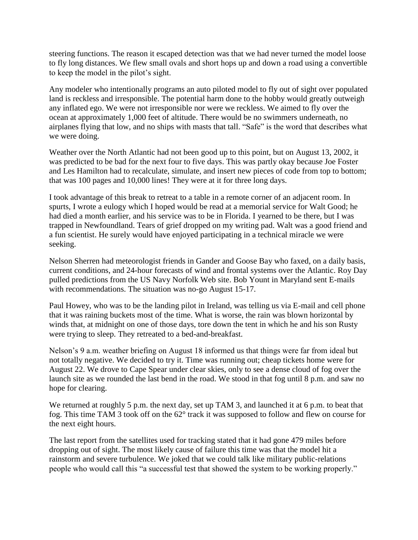steering functions. The reason it escaped detection was that we had never turned the model loose to fly long distances. We flew small ovals and short hops up and down a road using a convertible to keep the model in the pilot's sight.

Any modeler who intentionally programs an auto piloted model to fly out of sight over populated land is reckless and irresponsible. The potential harm done to the hobby would greatly outweigh any inflated ego. We were not irresponsible nor were we reckless. We aimed to fly over the ocean at approximately 1,000 feet of altitude. There would be no swimmers underneath, no airplanes flying that low, and no ships with masts that tall. "Safe" is the word that describes what we were doing.

Weather over the North Atlantic had not been good up to this point, but on August 13, 2002, it was predicted to be bad for the next four to five days. This was partly okay because Joe Foster and Les Hamilton had to recalculate, simulate, and insert new pieces of code from top to bottom; that was 100 pages and 10,000 lines! They were at it for three long days.

I took advantage of this break to retreat to a table in a remote corner of an adjacent room. In spurts, I wrote a eulogy which I hoped would be read at a memorial service for Walt Good; he had died a month earlier, and his service was to be in Florida. I yearned to be there, but I was trapped in Newfoundland. Tears of grief dropped on my writing pad. Walt was a good friend and a fun scientist. He surely would have enjoyed participating in a technical miracle we were seeking.

Nelson Sherren had meteorologist friends in Gander and Goose Bay who faxed, on a daily basis, current conditions, and 24-hour forecasts of wind and frontal systems over the Atlantic. Roy Day pulled predictions from the US Navy Norfolk Web site. Bob Yount in Maryland sent E-mails with recommendations. The situation was no-go August 15-17.

Paul Howey, who was to be the landing pilot in Ireland, was telling us via E-mail and cell phone that it was raining buckets most of the time. What is worse, the rain was blown horizontal by winds that, at midnight on one of those days, tore down the tent in which he and his son Rusty were trying to sleep. They retreated to a bed-and-breakfast.

Nelson's 9 a.m. weather briefing on August 18 informed us that things were far from ideal but not totally negative. We decided to try it. Time was running out; cheap tickets home were for August 22. We drove to Cape Spear under clear skies, only to see a dense cloud of fog over the launch site as we rounded the last bend in the road. We stood in that fog until 8 p.m. and saw no hope for clearing.

We returned at roughly 5 p.m. the next day, set up TAM 3, and launched it at 6 p.m. to beat that fog. This time TAM 3 took off on the 62° track it was supposed to follow and flew on course for the next eight hours.

The last report from the satellites used for tracking stated that it had gone 479 miles before dropping out of sight. The most likely cause of failure this time was that the model hit a rainstorm and severe turbulence. We joked that we could talk like military public-relations people who would call this "a successful test that showed the system to be working properly."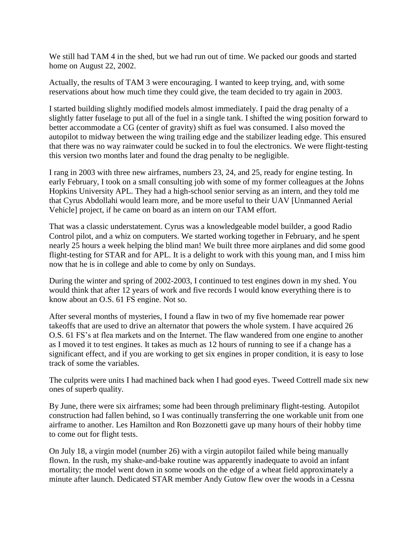We still had TAM 4 in the shed, but we had run out of time. We packed our goods and started home on August 22, 2002.

Actually, the results of TAM 3 were encouraging. I wanted to keep trying, and, with some reservations about how much time they could give, the team decided to try again in 2003.

I started building slightly modified models almost immediately. I paid the drag penalty of a slightly fatter fuselage to put all of the fuel in a single tank. I shifted the wing position forward to better accommodate a CG (center of gravity) shift as fuel was consumed. I also moved the autopilot to midway between the wing trailing edge and the stabilizer leading edge. This ensured that there was no way rainwater could be sucked in to foul the electronics. We were flight-testing this version two months later and found the drag penalty to be negligible.

I rang in 2003 with three new airframes, numbers 23, 24, and 25, ready for engine testing. In early February, I took on a small consulting job with some of my former colleagues at the Johns Hopkins University APL. They had a high-school senior serving as an intern, and they told me that Cyrus Abdollahi would learn more, and be more useful to their UAV [Unmanned Aerial Vehicle] project, if he came on board as an intern on our TAM effort.

That was a classic understatement. Cyrus was a knowledgeable model builder, a good Radio Control pilot, and a whiz on computers. We started working together in February, and he spent nearly 25 hours a week helping the blind man! We built three more airplanes and did some good flight-testing for STAR and for APL. It is a delight to work with this young man, and I miss him now that he is in college and able to come by only on Sundays.

During the winter and spring of 2002-2003, I continued to test engines down in my shed. You would think that after 12 years of work and five records I would know everything there is to know about an O.S. 61 FS engine. Not so.

After several months of mysteries, I found a flaw in two of my five homemade rear power takeoffs that are used to drive an alternator that powers the whole system. I have acquired 26 O.S. 61 FS's at flea markets and on the Internet. The flaw wandered from one engine to another as I moved it to test engines. It takes as much as 12 hours of running to see if a change has a significant effect, and if you are working to get six engines in proper condition, it is easy to lose track of some the variables.

The culprits were units I had machined back when I had good eyes. Tweed Cottrell made six new ones of superb quality.

By June, there were six airframes; some had been through preliminary flight-testing. Autopilot construction had fallen behind, so I was continually transferring the one workable unit from one airframe to another. Les Hamilton and Ron Bozzonetti gave up many hours of their hobby time to come out for flight tests.

On July 18, a virgin model (number 26) with a virgin autopilot failed while being manually flown. In the rush, my shake-and-bake routine was apparently inadequate to avoid an infant mortality; the model went down in some woods on the edge of a wheat field approximately a minute after launch. Dedicated STAR member Andy Gutow flew over the woods in a Cessna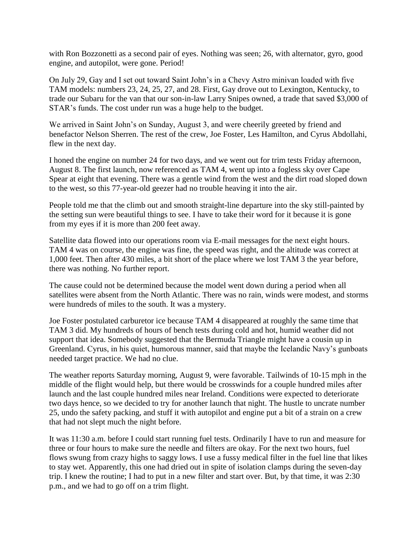with Ron Bozzonetti as a second pair of eyes. Nothing was seen; 26, with alternator, gyro, good engine, and autopilot, were gone. Period!

On July 29, Gay and I set out toward Saint John's in a Chevy Astro minivan loaded with five TAM models: numbers 23, 24, 25, 27, and 28. First, Gay drove out to Lexington, Kentucky, to trade our Subaru for the van that our son-in-law Larry Snipes owned, a trade that saved \$3,000 of STAR's funds. The cost under run was a huge help to the budget.

We arrived in Saint John's on Sunday, August 3, and were cheerily greeted by friend and benefactor Nelson Sherren. The rest of the crew, Joe Foster, Les Hamilton, and Cyrus Abdollahi, flew in the next day.

I honed the engine on number 24 for two days, and we went out for trim tests Friday afternoon, August 8. The first launch, now referenced as TAM 4, went up into a fogless sky over Cape Spear at eight that evening. There was a gentle wind from the west and the dirt road sloped down to the west, so this 77-year-old geezer had no trouble heaving it into the air.

People told me that the climb out and smooth straight-line departure into the sky still-painted by the setting sun were beautiful things to see. I have to take their word for it because it is gone from my eyes if it is more than 200 feet away.

Satellite data flowed into our operations room via E-mail messages for the next eight hours. TAM 4 was on course, the engine was fine, the speed was right, and the altitude was correct at 1,000 feet. Then after 430 miles, a bit short of the place where we lost TAM 3 the year before, there was nothing. No further report.

The cause could not be determined because the model went down during a period when all satellites were absent from the North Atlantic. There was no rain, winds were modest, and storms were hundreds of miles to the south. It was a mystery.

Joe Foster postulated carburetor ice because TAM 4 disappeared at roughly the same time that TAM 3 did. My hundreds of hours of bench tests during cold and hot, humid weather did not support that idea. Somebody suggested that the Bermuda Triangle might have a cousin up in Greenland. Cyrus, in his quiet, humorous manner, said that maybe the Icelandic Navy's gunboats needed target practice. We had no clue.

The weather reports Saturday morning, August 9, were favorable. Tailwinds of 10-15 mph in the middle of the flight would help, but there would be crosswinds for a couple hundred miles after launch and the last couple hundred miles near Ireland. Conditions were expected to deteriorate two days hence, so we decided to try for another launch that night. The hustle to uncrate number 25, undo the safety packing, and stuff it with autopilot and engine put a bit of a strain on a crew that had not slept much the night before.

It was 11:30 a.m. before I could start running fuel tests. Ordinarily I have to run and measure for three or four hours to make sure the needle and filters are okay. For the next two hours, fuel flows swung from crazy highs to saggy lows. I use a fussy medical filter in the fuel line that likes to stay wet. Apparently, this one had dried out in spite of isolation clamps during the seven-day trip. I knew the routine; I had to put in a new filter and start over. But, by that time, it was 2:30 p.m., and we had to go off on a trim flight.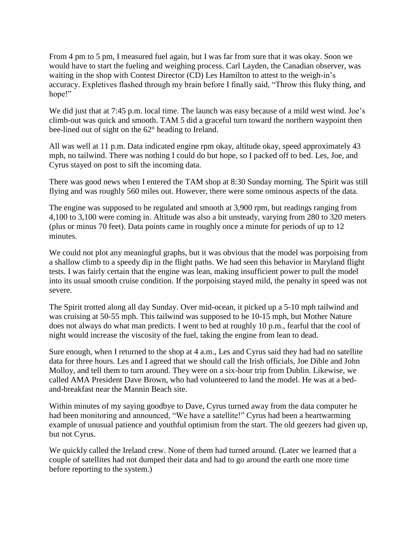From 4 pm to 5 pm, I measured fuel again, but I was far from sure that it was okay. Soon we would have to start the fueling and weighing process. Carl Layden, the Canadian observer, was waiting in the shop with Contest Director (CD) Les Hamilton to attest to the weigh-in's accuracy. Expletives flashed through my brain before I finally said, "Throw this fluky thing, and hope!"

We did just that at 7:45 p.m. local time. The launch was easy because of a mild west wind. Joe's climb-out was quick and smooth. TAM 5 did a graceful turn toward the northern waypoint then bee-lined out of sight on the 62° heading to Ireland.

All was well at 11 p.m. Data indicated engine rpm okay, altitude okay, speed approximately 43 mph, no tailwind. There was nothing I could do but hope, so I packed off to bed. Les, Joe, and Cyrus stayed on post to sift the incoming data.

There was good news when I entered the TAM shop at 8:30 Sunday morning. The Spirit was still flying and was roughly 560 miles out. However, there were some ominous aspects of the data.

The engine was supposed to be regulated and smooth at 3,900 rpm, but readings ranging from 4,100 to 3,100 were coming in. Altitude was also a bit unsteady, varying from 280 to 320 meters (plus or minus 70 feet). Data points came in roughly once a minute for periods of up to 12 minutes.

We could not plot any meaningful graphs, but it was obvious that the model was porpoising from a shallow climb to a speedy dip in the flight paths. We had seen this behavior in Maryland flight tests. I was fairly certain that the engine was lean, making insufficient power to pull the model into its usual smooth cruise condition. If the porpoising stayed mild, the penalty in speed was not severe.

The Spirit trotted along all day Sunday. Over mid-ocean, it picked up a 5-10 mph tailwind and was cruising at 50-55 mph. This tailwind was supposed to be 10-15 mph, but Mother Nature does not always do what man predicts. I went to bed at roughly 10 p.m., fearful that the cool of night would increase the viscosity of the fuel, taking the engine from lean to dead.

Sure enough, when I returned to the shop at 4 a.m., Les and Cyrus said they had had no satellite data for three hours. Les and I agreed that we should call the Irish officials, Joe Dible and John Molloy, and tell them to turn around. They were on a six-hour trip from Dublin. Likewise, we called AMA President Dave Brown, who had volunteered to land the model. He was at a bedand-breakfast near the Mannin Beach site.

Within minutes of my saying goodbye to Dave, Cyrus turned away from the data computer he had been monitoring and announced, "We have a satellite!" Cyrus had been a heartwarming example of unusual patience and youthful optimism from the start. The old geezers had given up, but not Cyrus.

We quickly called the Ireland crew. None of them had turned around. (Later we learned that a couple of satellites had not dumped their data and had to go around the earth one more time before reporting to the system.)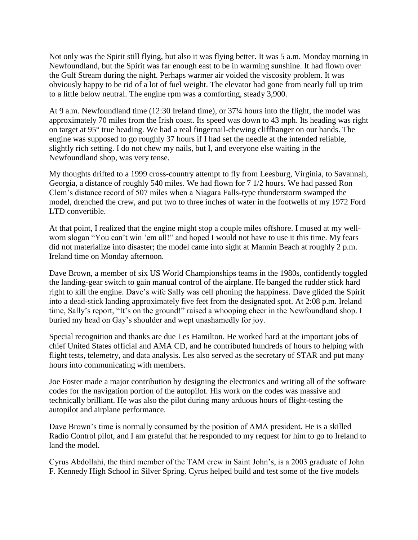Not only was the Spirit still flying, but also it was flying better. It was 5 a.m. Monday morning in Newfoundland, but the Spirit was far enough east to be in warming sunshine. It had flown over the Gulf Stream during the night. Perhaps warmer air voided the viscosity problem. It was obviously happy to be rid of a lot of fuel weight. The elevator had gone from nearly full up trim to a little below neutral. The engine rpm was a comforting, steady 3,900.

At 9 a.m. Newfoundland time (12:30 Ireland time), or 37¼ hours into the flight, the model was approximately 70 miles from the Irish coast. Its speed was down to 43 mph. Its heading was right on target at 95° true heading. We had a real fingernail-chewing cliffhanger on our hands. The engine was supposed to go roughly 37 hours if I had set the needle at the intended reliable, slightly rich setting. I do not chew my nails, but I, and everyone else waiting in the Newfoundland shop, was very tense.

My thoughts drifted to a 1999 cross-country attempt to fly from Leesburg, Virginia, to Savannah, Georgia, a distance of roughly 540 miles. We had flown for 7 1/2 hours. We had passed Ron Clem's distance record of 507 miles when a Niagara Falls-type thunderstorm swamped the model, drenched the crew, and put two to three inches of water in the footwells of my 1972 Ford LTD convertible.

At that point, I realized that the engine might stop a couple miles offshore. I mused at my wellworn slogan "You can't win 'em all!" and hoped I would not have to use it this time. My fears did not materialize into disaster; the model came into sight at Mannin Beach at roughly 2 p.m. Ireland time on Monday afternoon.

Dave Brown, a member of six US World Championships teams in the 1980s, confidently toggled the landing-gear switch to gain manual control of the airplane. He banged the rudder stick hard right to kill the engine. Dave's wife Sally was cell phoning the happiness. Dave glided the Spirit into a dead-stick landing approximately five feet from the designated spot. At 2:08 p.m. Ireland time, Sally's report, "It's on the ground!" raised a whooping cheer in the Newfoundland shop. I buried my head on Gay's shoulder and wept unashamedly for joy.

Special recognition and thanks are due Les Hamilton. He worked hard at the important jobs of chief United States official and AMA CD, and he contributed hundreds of hours to helping with flight tests, telemetry, and data analysis. Les also served as the secretary of STAR and put many hours into communicating with members.

Joe Foster made a major contribution by designing the electronics and writing all of the software codes for the navigation portion of the autopilot. His work on the codes was massive and technically brilliant. He was also the pilot during many arduous hours of flight-testing the autopilot and airplane performance.

Dave Brown's time is normally consumed by the position of AMA president. He is a skilled Radio Control pilot, and I am grateful that he responded to my request for him to go to Ireland to land the model.

Cyrus Abdollahi, the third member of the TAM crew in Saint John's, is a 2003 graduate of John F. Kennedy High School in Silver Spring. Cyrus helped build and test some of the five models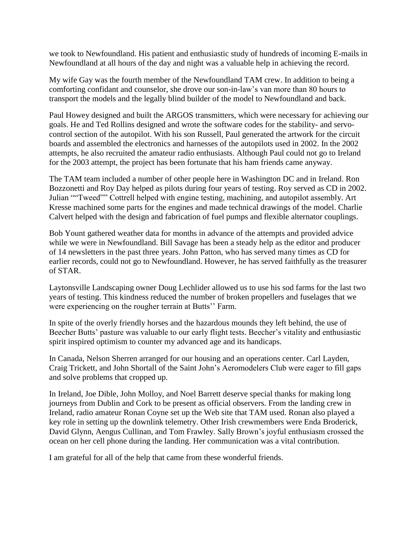we took to Newfoundland. His patient and enthusiastic study of hundreds of incoming E-mails in Newfoundland at all hours of the day and night was a valuable help in achieving the record.

My wife Gay was the fourth member of the Newfoundland TAM crew. In addition to being a comforting confidant and counselor, she drove our son-in-law's van more than 80 hours to transport the models and the legally blind builder of the model to Newfoundland and back.

Paul Howey designed and built the ARGOS transmitters, which were necessary for achieving our goals. He and Ted Rollins designed and wrote the software codes for the stability- and servocontrol section of the autopilot. With his son Russell, Paul generated the artwork for the circuit boards and assembled the electronics and harnesses of the autopilots used in 2002. In the 2002 attempts, he also recruited the amateur radio enthusiasts. Although Paul could not go to Ireland for the 2003 attempt, the project has been fortunate that his ham friends came anyway.

The TAM team included a number of other people here in Washington DC and in Ireland. Ron Bozzonetti and Roy Day helped as pilots during four years of testing. Roy served as CD in 2002. Julian ""Tweed"" Cottrell helped with engine testing, machining, and autopilot assembly. Art Kresse machined some parts for the engines and made technical drawings of the model. Charlie Calvert helped with the design and fabrication of fuel pumps and flexible alternator couplings.

Bob Yount gathered weather data for months in advance of the attempts and provided advice while we were in Newfoundland. Bill Savage has been a steady help as the editor and producer of 14 newsletters in the past three years. John Patton, who has served many times as CD for earlier records, could not go to Newfoundland. However, he has served faithfully as the treasurer of STAR.

Laytonsville Landscaping owner Doug Lechlider allowed us to use his sod farms for the last two years of testing. This kindness reduced the number of broken propellers and fuselages that we were experiencing on the rougher terrain at Butts'' Farm.

In spite of the overly friendly horses and the hazardous mounds they left behind, the use of Beecher Butts' pasture was valuable to our early flight tests. Beecher's vitality and enthusiastic spirit inspired optimism to counter my advanced age and its handicaps.

In Canada, Nelson Sherren arranged for our housing and an operations center. Carl Layden, Craig Trickett, and John Shortall of the Saint John's Aeromodelers Club were eager to fill gaps and solve problems that cropped up.

In Ireland, Joe Dible, John Molloy, and Noel Barrett deserve special thanks for making long journeys from Dublin and Cork to be present as official observers. From the landing crew in Ireland, radio amateur Ronan Coyne set up the Web site that TAM used. Ronan also played a key role in setting up the downlink telemetry. Other Irish crewmembers were Enda Broderick, David Glynn, Aengus Cullinan, and Tom Frawley. Sally Brown's joyful enthusiasm crossed the ocean on her cell phone during the landing. Her communication was a vital contribution.

I am grateful for all of the help that came from these wonderful friends.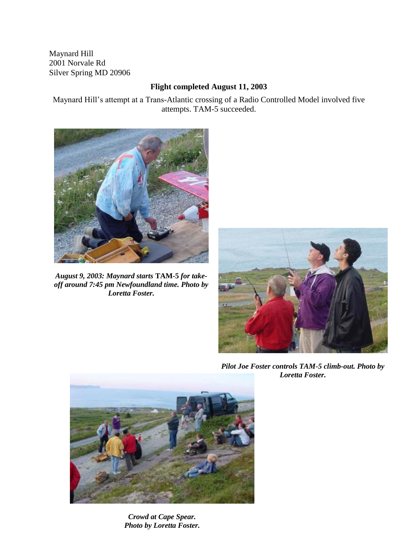Maynard Hill 2001 Norvale Rd Silver Spring MD 20906

## **Flight completed August 11, 2003**

Maynard Hill's attempt at a Trans-Atlantic crossing of a Radio Controlled Model involved five attempts. TAM-5 succeeded.



*August 9, 2003: Maynard starts* **TAM-5** *for takeoff around 7:45 pm Newfoundland time. Photo by Loretta Foster.*



*Pilot Joe Foster controls TAM-5 climb-out. Photo by Loretta Foster.*



*Crowd at Cape Spear. Photo by Loretta Foster.*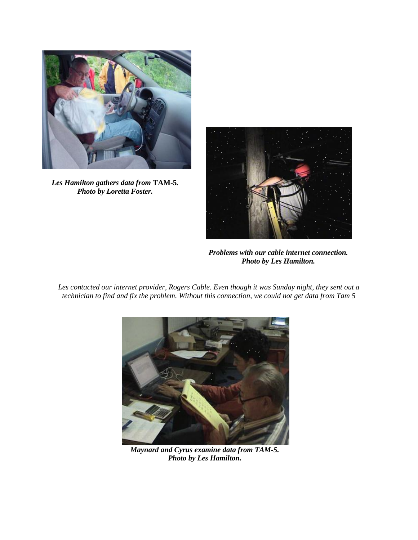

*Les Hamilton gathers data from* **TAM-5***. Photo by Loretta Foster.*



*Problems with our cable internet connection. Photo by Les Hamilton.*

*Les contacted our internet provider, Rogers Cable. Even though it was Sunday night, they sent out a technician to find and fix the problem. Without this connection, we could not get data from Tam 5*



*Maynard and Cyrus examine data from TAM-5. Photo by Les Hamilton.*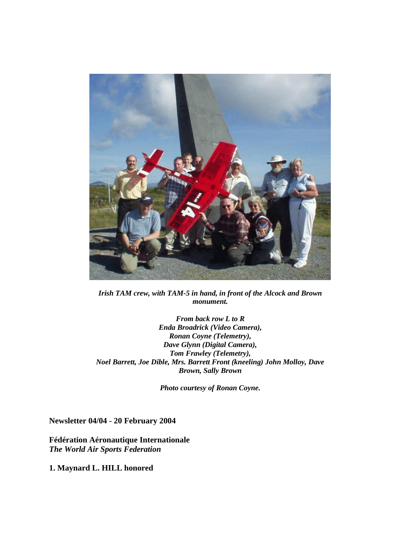

*Irish TAM crew, with TAM-5 in hand, in front of the Alcock and Brown monument.* 

*From back row L to R Enda Broadrick (Video Camera), Ronan Coyne (Telemetry), Dave Glynn (Digital Camera), Tom Frawley (Telemetry), Noel Barrett, Joe Dible, Mrs. Barrett Front (kneeling) John Molloy, Dave Brown, Sally Brown*

*Photo courtesy of Ronan Coyne.*

**Newsletter 04/04 - 20 February 2004**

**Fédération Aéronautique Internationale** *The World Air Sports Federation*

**1. Maynard L. HILL honored**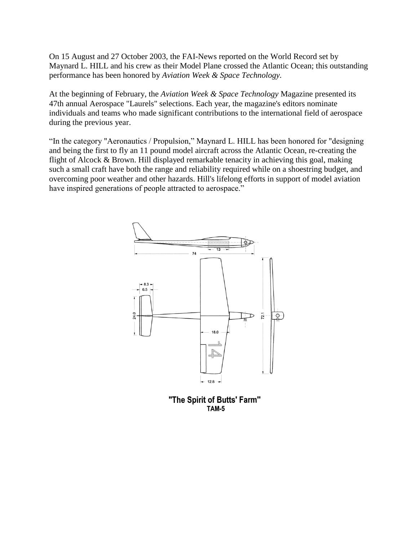On 15 August and 27 October 2003, the FAI-News reported on the World Record set by Maynard L. HILL and his crew as their Model Plane crossed the Atlantic Ocean; this outstanding performance has been honored by *Aviation Week & Space Technology.*

At the beginning of February, the *Aviation Week & Space Technology* Magazine presented its 47th annual Aerospace "Laurels" selections. Each year, the magazine's editors nominate individuals and teams who made significant contributions to the international field of aerospace during the previous year.

"In the category "Aeronautics / Propulsion," Maynard L. HILL has been honored for "designing and being the first to fly an 11 pound model aircraft across the Atlantic Ocean, re-creating the flight of Alcock & Brown. Hill displayed remarkable tenacity in achieving this goal, making such a small craft have both the range and reliability required while on a shoestring budget, and overcoming poor weather and other hazards. Hill's lifelong efforts in support of model aviation have inspired generations of people attracted to aerospace."



"The Spirit of Butts' Farm" **TAM-5**